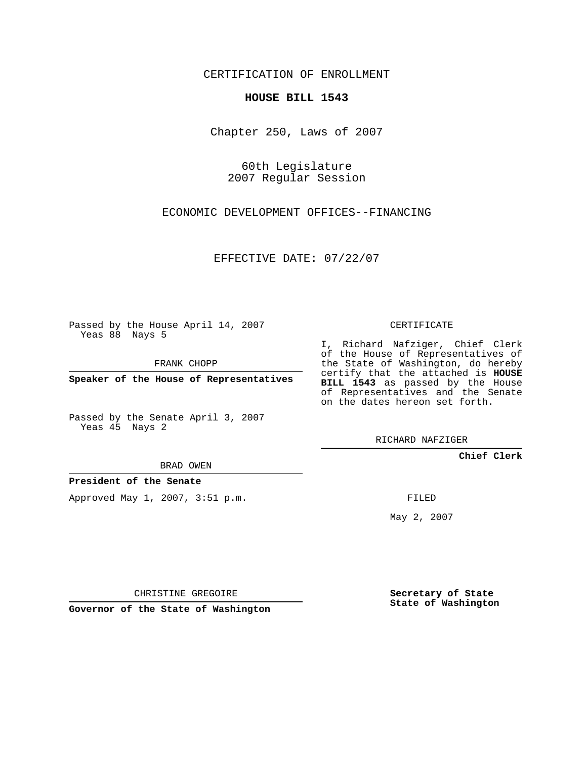CERTIFICATION OF ENROLLMENT

## **HOUSE BILL 1543**

Chapter 250, Laws of 2007

60th Legislature 2007 Regular Session

ECONOMIC DEVELOPMENT OFFICES--FINANCING

EFFECTIVE DATE: 07/22/07

Passed by the House April 14, 2007 Yeas 88 Nays 5

FRANK CHOPP

**Speaker of the House of Representatives**

Passed by the Senate April 3, 2007 Yeas 45 Nays 2

BRAD OWEN

**President of the Senate**

Approved May 1, 2007, 3:51 p.m.

CERTIFICATE

I, Richard Nafziger, Chief Clerk of the House of Representatives of the State of Washington, do hereby certify that the attached is **HOUSE BILL 1543** as passed by the House of Representatives and the Senate on the dates hereon set forth.

RICHARD NAFZIGER

**Chief Clerk**

FILED

May 2, 2007

**Secretary of State State of Washington**

CHRISTINE GREGOIRE

**Governor of the State of Washington**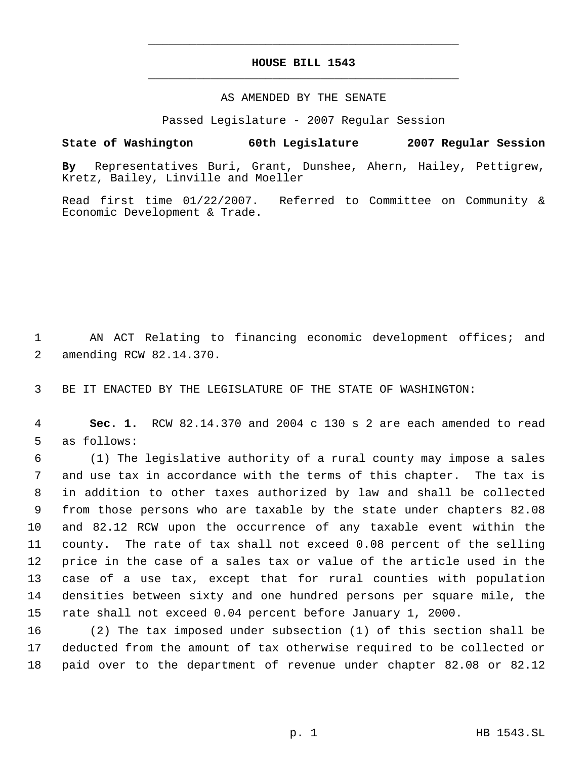# **HOUSE BILL 1543** \_\_\_\_\_\_\_\_\_\_\_\_\_\_\_\_\_\_\_\_\_\_\_\_\_\_\_\_\_\_\_\_\_\_\_\_\_\_\_\_\_\_\_\_\_

\_\_\_\_\_\_\_\_\_\_\_\_\_\_\_\_\_\_\_\_\_\_\_\_\_\_\_\_\_\_\_\_\_\_\_\_\_\_\_\_\_\_\_\_\_

## AS AMENDED BY THE SENATE

Passed Legislature - 2007 Regular Session

## **State of Washington 60th Legislature 2007 Regular Session**

**By** Representatives Buri, Grant, Dunshee, Ahern, Hailey, Pettigrew, Kretz, Bailey, Linville and Moeller

Read first time 01/22/2007. Referred to Committee on Community & Economic Development & Trade.

 AN ACT Relating to financing economic development offices; and amending RCW 82.14.370.

BE IT ENACTED BY THE LEGISLATURE OF THE STATE OF WASHINGTON:

 **Sec. 1.** RCW 82.14.370 and 2004 c 130 s 2 are each amended to read as follows:

 (1) The legislative authority of a rural county may impose a sales and use tax in accordance with the terms of this chapter. The tax is in addition to other taxes authorized by law and shall be collected from those persons who are taxable by the state under chapters 82.08 and 82.12 RCW upon the occurrence of any taxable event within the county. The rate of tax shall not exceed 0.08 percent of the selling price in the case of a sales tax or value of the article used in the case of a use tax, except that for rural counties with population densities between sixty and one hundred persons per square mile, the rate shall not exceed 0.04 percent before January 1, 2000.

 (2) The tax imposed under subsection (1) of this section shall be deducted from the amount of tax otherwise required to be collected or paid over to the department of revenue under chapter 82.08 or 82.12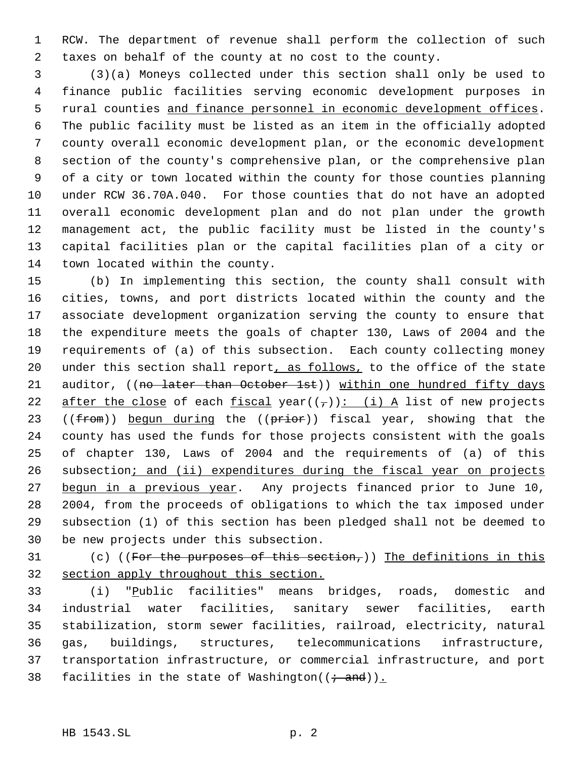RCW. The department of revenue shall perform the collection of such taxes on behalf of the county at no cost to the county.

 (3)(a) Moneys collected under this section shall only be used to finance public facilities serving economic development purposes in 5 rural counties and finance personnel in economic development offices. The public facility must be listed as an item in the officially adopted county overall economic development plan, or the economic development section of the county's comprehensive plan, or the comprehensive plan of a city or town located within the county for those counties planning under RCW 36.70A.040. For those counties that do not have an adopted overall economic development plan and do not plan under the growth management act, the public facility must be listed in the county's capital facilities plan or the capital facilities plan of a city or town located within the county.

 (b) In implementing this section, the county shall consult with cities, towns, and port districts located within the county and the associate development organization serving the county to ensure that the expenditure meets the goals of chapter 130, Laws of 2004 and the requirements of (a) of this subsection. Each county collecting money 20 under this section shall report, as follows, to the office of the state 21 auditor, ((no later than October 1st)) within one hundred fifty days 22 after the close of each fiscal year( $(\tau)$ ): (i) A list of new projects 23 (( $from$ )) begun during the (( $prior$ )) fiscal year, showing that the county has used the funds for those projects consistent with the goals of chapter 130, Laws of 2004 and the requirements of (a) of this 26 subsection; and (ii) expenditures during the fiscal year on projects 27 begun in a previous year. Any projects financed prior to June 10, 2004, from the proceeds of obligations to which the tax imposed under subsection (1) of this section has been pledged shall not be deemed to be new projects under this subsection.

31 (c) ((For the purposes of this section,)) The definitions in this section apply throughout this section.

 (i) "Public facilities" means bridges, roads, domestic and industrial water facilities, sanitary sewer facilities, earth stabilization, storm sewer facilities, railroad, electricity, natural gas, buildings, structures, telecommunications infrastructure, transportation infrastructure, or commercial infrastructure, and port 38 facilities in the state of Washington( $(\div \text{ and })$ ).